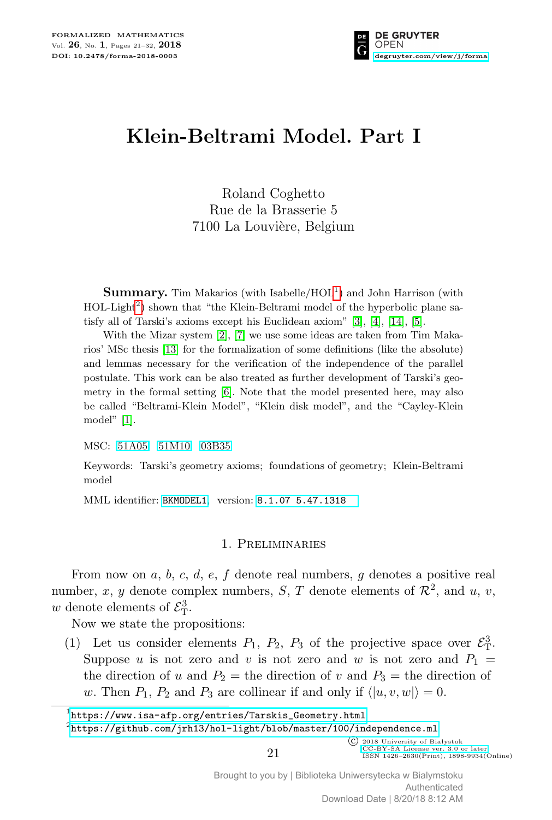

# **Klein-Beltrami Model. Part I**

Roland Coghetto Rue de la Brasserie 5 7100 La Louvière, Belgium

**Summary.** Tim Makarios (with Isabelle/HOL<sup>[1](#page-0-0)</sup>) and John Harrison (with HOL-Light<sup>[2](#page-0-1)</sup>) shown that "the Klein-Beltrami model of the hyperbolic plane satisfy all of Tarski's axioms except his Euclidean axiom" [\[3\]](#page-11-0), [\[4\]](#page-11-1), [\[14\]](#page-11-2), [\[5\]](#page-11-3).

With the Mizar system  $\lbrack 2 \rbrack$ ,  $\lbrack 7 \rbrack$  we use some ideas are taken from Tim Makarios' MSc thesis [\[13\]](#page-11-6) for the formalization of some definitions (like the absolute) and lemmas necessary for the verification of the independence of the parallel postulate. This work can be also treated as further development of Tarski's geometry in the formal setting [\[6\]](#page-11-7). Note that the model presented here, may also be called "Beltrami-Klein Model", "Klein disk model", and the "Cayley-Klein model" [\[1\]](#page-11-8).

MSC: [51A05](http://zbmath.org/classification/?q=cc:51A05) [51M10](http://zbmath.org/classification/?q=cc:51M10) [03B35](http://zbmath.org/classification/?q=cc:03B35)

Keywords: Tarski's geometry axioms; foundations of geometry; Klein-Beltrami model

MML identifier: [BKMODEL1](http://fm.mizar.org/miz/bkmodel1.miz), version: [8.1.07 5.47.1318](http://ftp.mizar.org/)

## 1. Preliminaries

From now on *a*, *b*, *c*, *d*, *e*, *f* denote real numbers, *g* denotes a positive real number, x, y denote complex numbers, S, T denote elements of  $\mathcal{R}^2$ , and u, v, *w* denote elements of  $\mathcal{E}_{\mathrm{T}}^3$ .

Now we state the propositions:

(1) Let us consider elements  $P_1$ ,  $P_2$ ,  $P_3$  of the projective space over  $\mathcal{E}_T^3$ . Suppose *u* is not zero and *v* is not zero and *w* is not zero and  $P_1$  = the direction of *u* and  $P_2$  = the direction of *v* and  $P_3$  = the direction of *w*. Then  $P_1$ ,  $P_2$  and  $P_3$  are collinear if and only if  $\langle u, v, w \rangle = 0$ .

<span id="page-0-0"></span> $^1$ [https://www.isa-afp.org/entries/Tarskis\\_Geometry.html](https://www.isa-afp.org/entries/Tarskis_Geometry.html)

<span id="page-0-1"></span> $^{2}$ <https://github.com/jrh13/hol-light/blob/master/100/independence.ml>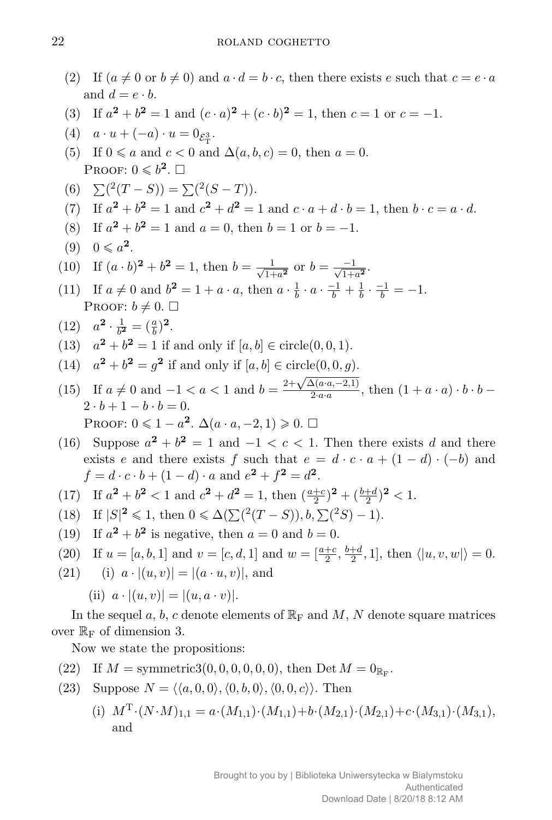- (2) If  $(a \neq 0 \text{ or } b \neq 0)$  and  $a \cdot d = b \cdot c$ , then there exists *e* such that  $c = e \cdot a$ and  $d = e \cdot b$ .
- (3) If  $a^2 + b^2 = 1$  and  $(c \cdot a)^2 + (c \cdot b)^2 = 1$ , then  $c = 1$  or  $c = -1$ .
- (4)  $a \cdot u + (-a) \cdot u = 0_{\mathcal{E}_{\mathrm{T}}^3}$ .
- (5) If  $0 \le a$  and  $c < 0$  and  $\Delta(a, b, c) = 0$ , then  $a = 0$ . Proof:  $0 \leqslant b^2$ .  $\square$
- (6)  $\sum ({}^{2}(T S)) = \sum ({}^{2}(S T)).$
- (7) If  $a^2 + b^2 = 1$  and  $c^2 + d^2 = 1$  and  $c \cdot a + d \cdot b = 1$ , then  $b \cdot c = a \cdot d$ .
- (8) If  $a^2 + b^2 = 1$  and  $a = 0$ , then  $b = 1$  or  $b = -1$ .

$$
(9) \quad 0 \leqslant a^2.
$$

- (10) If  $(a \cdot b)^2 + b^2 = 1$ , then  $b = \frac{1}{\sqrt{1}}$  $\frac{1}{1+a^2}$  or  $b = \frac{-1}{\sqrt{1+a^2}}$ .
- (11) If  $a \neq 0$  and  $b^2 = 1 + a \cdot a$ , then  $a \cdot \frac{1}{b}$  $\frac{1}{b} \cdot a \cdot \frac{-1}{b} + \frac{1}{b}$  $\frac{1}{b} \cdot \frac{-1}{b} = -1.$ PROOF:  $b \neq 0$ .  $\square$

(12) 
$$
a^2 \cdot \frac{1}{b^2} = (\frac{a}{b})^2
$$
.

- (13)  $a^2 + b^2 = 1$  if and only if  $[a, b] \in \text{circle}(0, 0, 1)$ .
- (14)  $a^2 + b^2 = g^2$  if and only if  $[a, b] \in \text{circle}(0, 0, g)$ .
- (15) If  $a \neq 0$  and  $-1 < a < 1$  and  $b = \frac{2+\sqrt{\Delta(a \cdot a, -2, 1)}}{2 \cdot a \cdot a}$  $\frac{2(a \cdot a, -2, 1)}{2 \cdot a \cdot a}$ , then  $(1 + a \cdot a) \cdot b \cdot b 2 \cdot b + 1 - b \cdot b = 0.$ PROOF:  $0 \leqslant 1 - a^2$ .  $\Delta(a \cdot a, -2, 1) \geqslant 0$ .  $\Box$
- (16) Suppose  $a^2 + b^2 = 1$  and  $-1 < c < 1$ . Then there exists *d* and there exists *e* and there exists *f* such that  $e = d \cdot c \cdot a + (1 - d) \cdot (-b)$  and  $f = d \cdot c \cdot b + (1 - d) \cdot a$  and  $e^2 + f^2 = d^2$ .
- (17) If  $a^2 + b^2 < 1$  and  $c^2 + d^2 = 1$ , then  $\left(\frac{a+c}{2}\right)^2 + \left(\frac{b+d}{2}\right)^2 < 1$ .
- $(18)$  If  $|S|^2 \le 1$ , then  $0 \le \Delta(\sum (^2(T S)), b, \sum (^2S) 1)$ .
- (19) If  $a^2 + b^2$  is negative, then  $a = 0$  and  $b = 0$ .
- (20) If  $u = [a, b, 1]$  and  $v = [c, d, 1]$  and  $w = \left[\frac{a+c}{2}, \frac{b+d}{2}\right]$  $\frac{+d}{2}$ , 1], then  $\langle |u, v, w| \rangle = 0$ .
- $(21)$  (i)  $a \cdot |(u, v)| = |(a \cdot u, v)|$ , and

(ii) 
$$
a \cdot |(u, v)| = |(u, a \cdot v)|
$$
.

In the sequel *a*, *b*, *c* denote elements of  $\mathbb{R}_{\text{F}}$  and *M*, *N* denote square matrices over  $\mathbb{R}_{\mathrm{F}}$  of dimension 3.

Now we state the propositions:

- (22) If  $M = \text{symmetric3}(0, 0, 0, 0, 0, 0)$ , then Det  $M = 0_{\mathbb{R}_{\text{F}}}$ .
- (23) Suppose  $N = \langle \langle a, 0, 0 \rangle, \langle 0, b, 0 \rangle, \langle 0, 0, c \rangle \rangle$ . Then
	- (i)  $M^{\mathrm{T}} \cdot (N \cdot M)_{1,1} = a \cdot (M_{1,1}) \cdot (M_{1,1}) + b \cdot (M_{2,1}) \cdot (M_{2,1}) + c \cdot (M_{3,1}) \cdot (M_{3,1}),$ and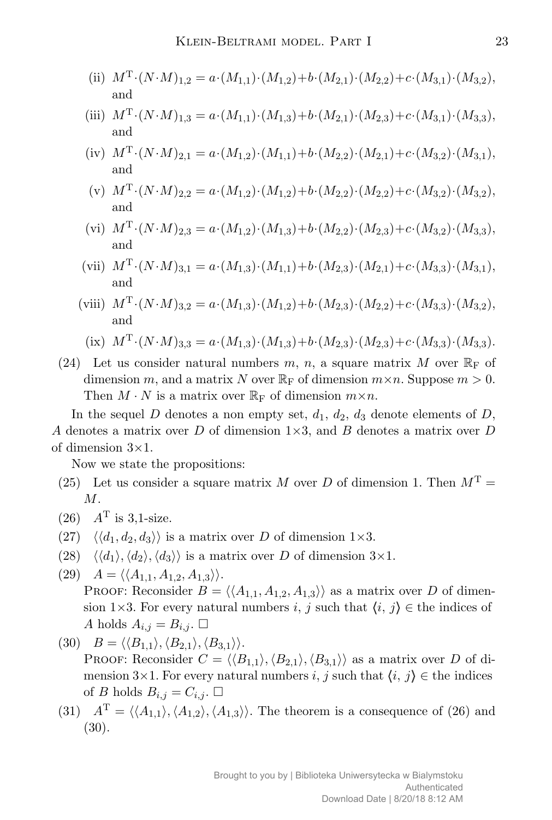- (ii)  $M^{\mathrm{T}} \cdot (N \cdot M)_{1,2} = a \cdot (M_{1,1}) \cdot (M_{1,2}) + b \cdot (M_{2,1}) \cdot (M_{2,2}) + c \cdot (M_{3,1}) \cdot (M_{3,2}),$ and
- (iii)  $M^{\mathrm{T}} \cdot (N \cdot M)_{1,3} = a \cdot (M_{1,1}) \cdot (M_{1,3}) + b \cdot (M_{2,1}) \cdot (M_{2,3}) + c \cdot (M_{3,1}) \cdot (M_{3,3}),$ and
- (iv)  $M^{\mathrm{T}} \cdot (N \cdot M)_{2,1} = a \cdot (M_{1,2}) \cdot (M_{1,1}) + b \cdot (M_{2,2}) \cdot (M_{2,1}) + c \cdot (M_{3,2}) \cdot (M_{3,1}),$ and
- (v)  $M^{\mathrm{T}} \cdot (N \cdot M)_{2,2} = a \cdot (M_{1,2}) \cdot (M_{1,2}) + b \cdot (M_{2,2}) \cdot (M_{2,2}) + c \cdot (M_{3,2}) \cdot (M_{3,2}),$ and
- (vi)  $M^{\mathrm{T}} \cdot (N \cdot M)_{2,3} = a \cdot (M_{1,2}) \cdot (M_{1,3}) + b \cdot (M_{2,2}) \cdot (M_{2,3}) + c \cdot (M_{3,2}) \cdot (M_{3,3}),$ and
- (vii)  $M^{\mathrm{T}} \cdot (N \cdot M)_{3,1} = a \cdot (M_{1,3}) \cdot (M_{1,1}) + b \cdot (M_{2,3}) \cdot (M_{2,1}) + c \cdot (M_{3,3}) \cdot (M_{3,1}),$ and
- (viii)  $M^{\mathrm{T}} \cdot (N \cdot M)_{3,2} = a \cdot (M_{1,3}) \cdot (M_{1,2}) + b \cdot (M_{2,3}) \cdot (M_{2,2}) + c \cdot (M_{3,3}) \cdot (M_{3,2}),$ and

(ix) 
$$
M^{\mathrm{T}} \cdot (N \cdot M)_{3,3} = a \cdot (M_{1,3}) \cdot (M_{1,3}) + b \cdot (M_{2,3}) \cdot (M_{2,3}) + c \cdot (M_{3,3}) \cdot (M_{3,3}).
$$

(24) Let us consider natural numbers  $m$ ,  $n$ , a square matrix  $M$  over  $\mathbb{R}_{\text{F}}$  of dimension *m*, and a matrix *N* over  $\mathbb{R}_{\text{F}}$  of dimension  $m \times n$ . Suppose  $m > 0$ . Then  $M \cdot N$  is a matrix over  $\mathbb{R}_{\text{F}}$  of dimension  $m \times n$ .

In the sequel *D* denotes a non empty set,  $d_1$ ,  $d_2$ ,  $d_3$  denote elements of *D*, *A* denotes a matrix over *D* of dimension 1*×*3, and *B* denotes a matrix over *D* of dimension 3*×*1.

Now we state the propositions:

- (25) Let us consider a square matrix *M* over *D* of dimension 1. Then  $M<sup>T</sup>$  = *M*.
- $(26)$  *A*<sup>T</sup> is 3,1-size.
- (27)  $\langle \langle d_1, d_2, d_3 \rangle \rangle$  is a matrix over *D* of dimension 1×3.
- (28)  $\langle \langle d_1 \rangle, \langle d_2 \rangle, \langle d_3 \rangle \rangle$  is a matrix over *D* of dimension  $3 \times 1$ .
- $\langle (29) \quad A = \langle \langle A_{1,1}, A_{1,2}, A_{1,3} \rangle \rangle.$ PROOF: Reconsider  $B = \langle A_{1,1}, A_{1,2}, A_{1,3} \rangle$  as a matrix over *D* of dimension 1×3. For every natural numbers *i*, *j* such that  $\langle i, j \rangle \in$  the indices of *A* holds  $A_{i,j} = B_{i,j}$ .
- $B = \langle \langle B_{1,1} \rangle, \langle B_{2,1} \rangle, \langle B_{3,1} \rangle \rangle.$ PROOF: Reconsider  $C = \langle \langle B_{1,1} \rangle, \langle B_{2,1} \rangle, \langle B_{3,1} \rangle \rangle$  as a matrix over *D* of dimension  $3\times1$ . For every natural numbers *i*, *j* such that  $\langle i, j \rangle \in$  the indices of *B* holds  $B_{i,j} = C_{i,j}$ .
- (31)  $A^{\text{T}} = \langle \langle A_{1,1} \rangle, \langle A_{1,2} \rangle, \langle A_{1,3} \rangle \rangle$ . The theorem is a consequence of (26) and (30).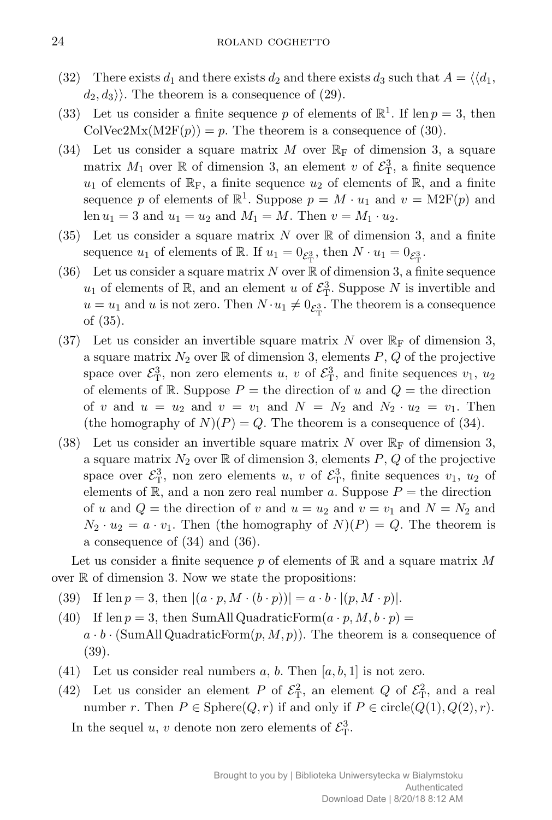- (32) There exists  $d_1$  and there exists  $d_2$  and there exists  $d_3$  such that  $A = \langle d_1, d_2 \rangle$  $d_2, d_3$ . The theorem is a consequence of (29).
- (33) Let us consider a finite sequence p of elements of  $\mathbb{R}^1$ . If len  $p = 3$ , then  $\text{ColVec2Mx}(M2F(p)) = p.$  The theorem is a consequence of (30).
- (34) Let us consider a square matrix *M* over  $\mathbb{R}_{\text{F}}$  of dimension 3, a square matrix  $M_1$  over  $\mathbb R$  of dimension 3, an element *v* of  $\mathcal{E}^3_T$ , a finite sequence  $u_1$  of elements of  $\mathbb{R}_F$ , a finite sequence  $u_2$  of elements of  $\mathbb{R}$ , and a finite sequence p of elements of  $\mathbb{R}^1$ . Suppose  $p = M \cdot u_1$  and  $v = M2F(p)$  and len  $u_1 = 3$  and  $u_1 = u_2$  and  $M_1 = M$ . Then  $v = M_1 \cdot u_2$ .
- (35) Let us consider a square matrix  $N$  over  $\mathbb R$  of dimension 3, and a finite sequence  $u_1$  of elements of R. If  $u_1 = 0_{\mathcal{E}_{\mathrm{T}}^3}$ , then  $N \cdot u_1 = 0_{\mathcal{E}_{\mathrm{T}}^3}$ .
- (36) Let us consider a square matrix  $N$  over  $\mathbb R$  of dimension 3, a finite sequence  $u_1$  of elements of  $\mathbb{R}$ , and an element *u* of  $\mathcal{E}_{\mathrm{T}}^3$ . Suppose *N* is invertible and  $u = u_1$  and *u* is not zero. Then  $N \cdot u_1 \neq 0_{\mathcal{E}_{\mathrm{T}}^3}$ . The theorem is a consequence of (35).
- (37) Let us consider an invertible square matrix  $N$  over  $\mathbb{R}_{\mathrm{F}}$  of dimension 3, a square matrix  $N_2$  over  $\mathbb R$  of dimension 3, elements  $P$ ,  $Q$  of the projective space over  $\mathcal{E}_{\rm T}^3$ , non zero elements *u*, *v* of  $\mathcal{E}_{\rm T}^3$ , and finite sequences *v*<sub>1</sub>, *u*<sub>2</sub> of elements of  $\mathbb{R}$ . Suppose  $P =$  the direction of *u* and  $Q =$  the direction of *v* and  $u = u_2$  and  $v = v_1$  and  $N = N_2$  and  $N_2 \cdot u_2 = v_1$ . Then (the homography of  $N(P) = Q$ . The theorem is a consequence of (34).
- (38) Let us consider an invertible square matrix N over  $\mathbb{R}_{\text{F}}$  of dimension 3, a square matrix  $N_2$  over  $\mathbb R$  of dimension 3, elements  $P$ ,  $Q$  of the projective space over  $\mathcal{E}_{\rm T}^3$ , non zero elements *u*, *v* of  $\mathcal{E}_{\rm T}^3$ , finite sequences *v*<sub>1</sub>, *u*<sub>2</sub> of elements of  $\mathbb{R}$ , and a non zero real number *a*. Suppose  $P =$  the direction of *u* and  $Q$  = the direction of *v* and  $u = u_2$  and  $v = v_1$  and  $N = N_2$  and  $N_2 \cdot u_2 = a \cdot v_1$ . Then (the homography of  $N(P) = Q$ . The theorem is a consequence of (34) and (36).

Let us consider a finite sequence *p* of elements of R and a square matrix *M* over  $\mathbb R$  of dimension 3. Now we state the propositions:

- (39) If len  $p = 3$ , then  $|(a \cdot p, M \cdot (b \cdot p))| = a \cdot b \cdot |(p, M \cdot p)|$ .
- (40) If len  $p = 3$ , then SumAll QuadraticForm $(a \cdot p, M, b \cdot p)$  $a \cdot b \cdot (\text{SumAll QuadraticForm}(p, M, p))$ . The theorem is a consequence of (39).
- (41) Let us consider real numbers  $a, b$ . Then  $[a, b, 1]$  is not zero.
- (42) Let us consider an element *P* of  $\mathcal{E}_{\rm T}^2$ , an element *Q* of  $\mathcal{E}_{\rm T}^2$ , and a real number *r*. Then  $P \in \text{Sphere}(Q, r)$  if and only if  $P \in \text{circle}(Q(1), Q(2), r)$ .

In the sequel *u*, *v* denote non zero elements of  $\mathcal{E}_{\mathrm{T}}^3$ .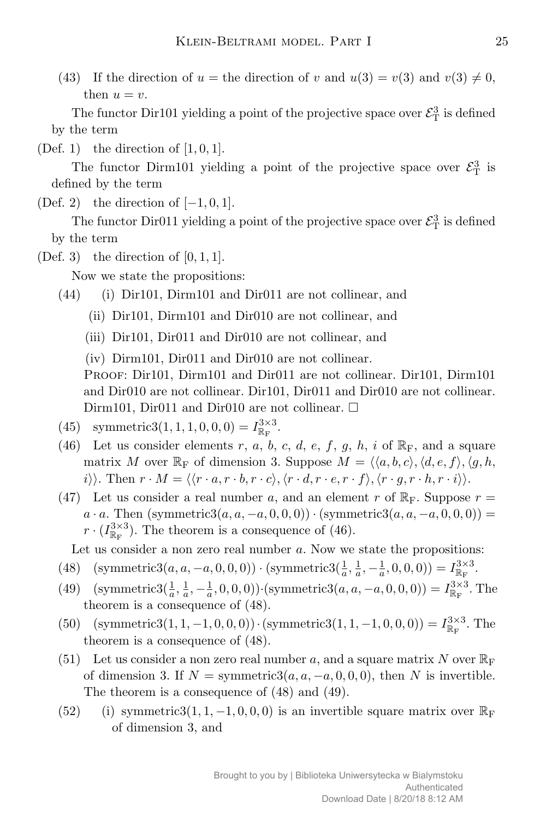(43) If the direction of  $u =$  the direction of  $v$  and  $u(3) = v(3)$  and  $v(3) \neq 0$ , then  $u = v$ .

The functor Dir101 yielding a point of the projective space over  $\mathcal{E}_{\mathrm{T}}^3$  is defined by the term

(Def. 1) the direction of [1*,* 0*,* 1].

The functor Dirm101 yielding a point of the projective space over  $\mathcal{E}_{\rm T}^3$  is defined by the term

(Def. 2) the direction of [*−*1*,* 0*,* 1].

The functor Dir011 yielding a point of the projective space over  $\mathcal{E}_{\mathrm{T}}^3$  is defined by the term

 $(Def. 3)$  the direction of  $[0, 1, 1]$ .

Now we state the propositions:

- (44) (i) Dir101, Dirm101 and Dir011 are not collinear, and
	- (ii) Dir101, Dirm101 and Dir010 are not collinear, and
	- (iii) Dir101, Dir011 and Dir010 are not collinear, and
	- (iv) Dirm101, Dir011 and Dir010 are not collinear.

PROOF: Dir101, Dirm101 and Dir011 are not collinear. Dir101, Dirm101 and Dir010 are not collinear. Dir101, Dir011 and Dir010 are not collinear. Dirm101, Dir011 and Dir010 are not collinear.  $\Box$ 

- (45) symmetric3(1, 1, 1, 0, 0, 0) =  $I_{\mathbb{R}_{\mathrm{F}}}^{3\times3}$ .
- (46) Let us consider elements  $r$ ,  $a$ ,  $b$ ,  $c$ ,  $d$ ,  $e$ ,  $f$ ,  $g$ ,  $h$ ,  $i$  of  $\mathbb{R}_F$ , and a square matrix *M* over  $\mathbb{R}_F$  of dimension 3. Suppose  $M = \langle \langle a, b, c \rangle, \langle d, e, f \rangle, \langle g, h, \rangle$  $i\rangle$ . Then  $r \cdot M = \langle \langle r \cdot a, r \cdot b, r \cdot c \rangle, \langle r \cdot d, r \cdot e, r \cdot f \rangle, \langle r \cdot g, r \cdot h, r \cdot i \rangle \rangle$ .
- (47) Let us consider a real number *a*, and an element *r* of  $\mathbb{R}_F$ . Suppose  $r =$  $a \cdot a$ . Then (symmetric3( $a, a, -a, 0, 0, 0$ ))  $\cdot$  (symmetric3( $a, a, -a, 0, 0, 0$ )) =  $r \cdot (I_{\mathbb{R}_{\mathrm{F}}}^{3 \times 3})$ . The theorem is a consequence of (46).

Let us consider a non zero real number *a*. Now we state the propositions:

- (48) (symmetric3(*a*, *a*, *−a*, 0, 0, 0))  $\cdot$  (symmetric3( $\frac{1}{a}, \frac{1}{a}$  $\frac{1}{a}$  *,*  $-\frac{1}{a}$  $(\frac{1}{a}, 0, 0, 0)) = I_{\mathbb{R}_{\mathrm{F}}}^{3 \times 3}$ .
- (49) (symmetric3( $\frac{1}{a}$ ,  $\frac{1}{a}$ )  $\frac{1}{a}$  *,*  $-\frac{1}{a}$  $(a, a, a, b, b, b)$  *(symmetric*3 $(a, a, -a, 0, 0, 0) = I_{\mathbb{R}_{F}}^{3 \times 3}$ . The theorem is a consequence of (48).
- (50) (symmetric3(1, 1, -1, 0, 0, 0)) · (symmetric3(1, 1, -1, 0, 0, 0)) =  $I_{\mathbb{R}_F}^{3\times 3}$ . The theorem is a consequence of (48).
- (51) Let us consider a non zero real number a, and a square matrix N over  $\mathbb{R}_{\mathbb{F}}$ of dimension 3. If  $N =$  symmetric3( $a, a, -a, 0, 0, 0$ ), then  $N$  is invertible. The theorem is a consequence of (48) and (49).
- (52) (i) symmetric3(1, 1,  $-1$ , 0, 0, 0) is an invertible square matrix over  $\mathbb{R}_{\text{F}}$ of dimension 3, and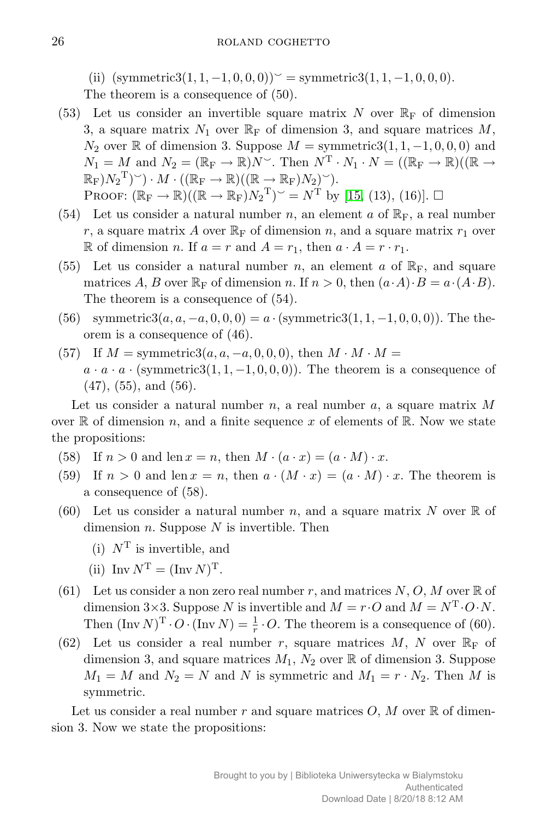(ii)  $(\text{symmetric3}(1, 1, -1, 0, 0, 0)) \leq \text{symmetric3}(1, 1, -1, 0, 0, 0).$ The theorem is a consequence of (50).

- (53) Let us consider an invertible square matrix  $N$  over  $\mathbb{R}_{\text{F}}$  of dimension 3, a square matrix  $N_1$  over  $\mathbb{R}_F$  of dimension 3, and square matrices  $M$ , *N*<sub>2</sub> over ℝ of dimension 3. Suppose  $M =$  symmetric3(1, 1, −1, 0, 0, 0) and  $N_1 = M$  and  $N_2 = (\mathbb{R}_F \to \mathbb{R})N^\sim$ . Then  $N^T \cdot N_1 \cdot N = ((\mathbb{R}_F \to \mathbb{R})((\mathbb{R} \to \mathbb{R}))1)$  $(\mathbb{R}_{\mathrm{F}})N_2^{\mathrm{T}})$   $\vee$   $\cdot$   $M \cdot ((\mathbb{R}_{\mathrm{F}} \to \mathbb{R})((\mathbb{R} \to \mathbb{R}_{\mathrm{F}})N_2)^{\vee}).$ PROOF:  $(\mathbb{R}_{\mathrm{F}} \to \mathbb{R})((\mathbb{R} \to \mathbb{R}_{\mathrm{F}})N_2^{\mathrm{T}})^{\sim} = N^{\mathrm{T}}$  by [\[15,](#page-11-9) (13), (16)].  $\square$
- (54) Let us consider a natural number *n*, an element *a* of  $\mathbb{R}_F$ , a real number *r*, a square matrix *A* over  $\mathbb{R}_{\text{F}}$  of dimension *n*, and a square matrix  $r_1$  over R of dimension *n*. If  $a = r$  and  $A = r_1$ , then  $a \cdot A = r \cdot r_1$ .
- (55) Let us consider a natural number *n*, an element *a* of  $\mathbb{R}_F$ , and square matrices *A*, *B* over  $\mathbb{R}_{\text{F}}$  of dimension *n*. If  $n > 0$ , then  $(a \cdot A) \cdot B = a \cdot (A \cdot B)$ . The theorem is a consequence of (54).
- (56) symmetric3( $a, a, -a, 0, 0, 0$ ) =  $a \cdot$  (symmetric3( $1, 1, -1, 0, 0, 0$ )). The theorem is a consequence of (46).
- (57) If  $M = \text{symmetric3}(a, a, -a, 0, 0, 0)$ , then  $M \cdot M \cdot M =$  $a \cdot a \cdot a \cdot$  (symmetric3(1, 1, -1, 0, 0, 0)). The theorem is a consequence of  $(47)$ ,  $(55)$ , and  $(56)$ .

Let us consider a natural number *n*, a real number *a*, a square matrix *M* over  $\mathbb R$  of dimension *n*, and a finite sequence *x* of elements of  $\mathbb R$ . Now we state the propositions:

- (58) If  $n > 0$  and len  $x = n$ , then  $M \cdot (a \cdot x) = (a \cdot M) \cdot x$ .
- (59) If  $n > 0$  and len  $x = n$ , then  $a \cdot (M \cdot x) = (a \cdot M) \cdot x$ . The theorem is a consequence of (58).
- (60) Let us consider a natural number *n*, and a square matrix N over  $\mathbb R$  of dimension *n*. Suppose *N* is invertible. Then
	- (i) *N*<sup>T</sup> is invertible, and
	- (ii)  $\text{Inv } N^{\text{T}} = (\text{Inv } N)^{\text{T}}$ .
- (61) Let us consider a non zero real number  $r$ , and matrices  $N, O, M$  over  $\mathbb R$  of dimension  $3\times3$ . Suppose *N* is invertible and  $M = r \cdot O$  and  $M = N^{T} \cdot O \cdot N$ . Then  $(\text{Inv } N)^{\text{T}} \cdot O \cdot (\text{Inv } N) = \frac{1}{r} \cdot O$ . The theorem is a consequence of (60).
- (62) Let us consider a real number *r*, square matrices  $M$ ,  $N$  over  $\mathbb{R}_{\text{F}}$  of dimension 3, and square matrices  $M_1$ ,  $N_2$  over  $\mathbb R$  of dimension 3. Suppose  $M_1 = M$  and  $N_2 = N$  and *N* is symmetric and  $M_1 = r \cdot N_2$ . Then *M* is symmetric.

Let us consider a real number  $r$  and square matrices  $O, M$  over  $\mathbb R$  of dimension 3. Now we state the propositions: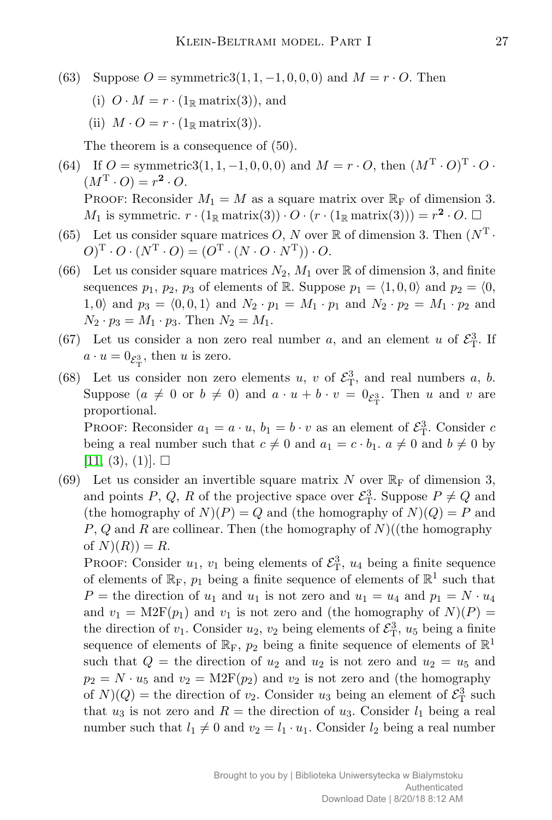- (63) Suppose  $O = \text{symmetric3}(1, 1, -1, 0, 0, 0)$  and  $M = r \cdot O$ . Then
	- (i)  $O \cdot M = r \cdot (1_R \text{ matrix}(3))$ , and
	- (ii)  $M \cdot O = r \cdot (1_R \text{ matrix}(3)).$

The theorem is a consequence of (50).

- (64) If  $O = \text{symmetric3}(1, 1, -1, 0, 0, 0)$  and  $M = r \cdot O$ , then  $(M^T \cdot O)^T \cdot O \cdot$  $(M^{\mathrm{T}} \cdot O) = r^2 \cdot O.$ PROOF: Reconsider  $M_1 = M$  as a square matrix over  $\mathbb{R}_F$  of dimension 3. *M*<sub>1</sub> is symmetric.  $r \cdot (1_{\mathbb{R}} \text{ matrix}(3)) \cdot O \cdot (r \cdot (1_{\mathbb{R}} \text{ matrix}(3))) = r^2 \cdot O. \Box$
- (65) Let us consider square matrices *O*, *N* over  $\mathbb R$  of dimension 3. Then  $(N^T \cdot$  $O(\Gamma \cdot O \cdot (N^{\mathrm{T}} \cdot O) = (O^{\mathrm{T}} \cdot (N \cdot O \cdot N^{\mathrm{T}})) \cdot O.$
- (66) Let us consider square matrices  $N_2$ ,  $M_1$  over  $\mathbb R$  of dimension 3, and finite sequences  $p_1$ ,  $p_2$ ,  $p_3$  of elements of R. Suppose  $p_1 = \langle 1, 0, 0 \rangle$  and  $p_2 = \langle 0,$  $1,0$ *i* and  $p_3 = \langle 0,0,1 \rangle$  and  $N_2 \cdot p_1 = M_1 \cdot p_1$  and  $N_2 \cdot p_2 = M_1 \cdot p_2$  and  $N_2 \cdot p_3 = M_1 \cdot p_3$ . Then  $N_2 = M_1$ .
- (67) Let us consider a non zero real number *a*, and an element *u* of  $\mathcal{E}_{T}^3$ . If  $a \cdot u = 0_{\mathcal{E}_{\mathrm{T}}^3}$ , then *u* is zero.
- (68) Let us consider non zero elements *u*, *v* of  $\mathcal{E}_{T}^3$ , and real numbers *a*, *b*. Suppose  $(a \neq 0 \text{ or } b \neq 0)$  and  $a \cdot u + b \cdot v = 0$ <sub> $\varepsilon_x^3$ </sub>. Then *u* and *v* are proportional.

PROOF: Reconsider  $a_1 = a \cdot u$ ,  $b_1 = b \cdot v$  as an element of  $\mathcal{E}_{\mathrm{T}}^3$ . Consider *c* being a real number such that  $c \neq 0$  and  $a_1 = c \cdot b_1$ .  $a \neq 0$  and  $b \neq 0$  by  $[11, (3), (1)]. \square$  $[11, (3), (1)]. \square$ 

(69) Let us consider an invertible square matrix N over  $\mathbb{R}_{\text{F}}$  of dimension 3, and points  $P$ ,  $Q$ ,  $R$  of the projective space over  $\mathcal{E}_{\mathrm{T}}^3$ . Suppose  $P \neq Q$  and (the homography of  $N(P) = Q$  and (the homography of  $N(Q) = P$  and *P*, *Q* and *R* are collinear. Then (the homography of *N*)((the homography of  $N(R) = R$ .

PROOF: Consider  $u_1, v_1$  being elements of  $\mathcal{E}^3_T$ ,  $u_4$  being a finite sequence of elements of  $\mathbb{R}_F$ ,  $p_1$  being a finite sequence of elements of  $\mathbb{R}^1$  such that  $P =$  the direction of  $u_1$  and  $u_1$  is not zero and  $u_1 = u_4$  and  $p_1 = N \cdot u_4$ and  $v_1 = \text{M2F}(p_1)$  and  $v_1$  is not zero and (the homography of  $N(P)$ ) the direction of  $v_1$ . Consider  $u_2$ ,  $v_2$  being elements of  $\mathcal{E}^3_T$ ,  $u_5$  being a finite sequence of elements of  $\mathbb{R}_F$ ,  $p_2$  being a finite sequence of elements of  $\mathbb{R}^1$ such that  $Q =$  the direction of  $u_2$  and  $u_2$  is not zero and  $u_2 = u_5$  and  $p_2 = N \cdot u_5$  and  $v_2 = \text{M2F}(p_2)$  and  $v_2$  is not zero and (the homography of  $N(Q)$  = the direction of  $v_2$ . Consider  $u_3$  being an element of  $\mathcal{E}^3$  such that  $u_3$  is not zero and  $R =$  the direction of  $u_3$ . Consider  $l_1$  being a real number such that  $l_1 \neq 0$  and  $v_2 = l_1 \cdot u_1$ . Consider  $l_2$  being a real number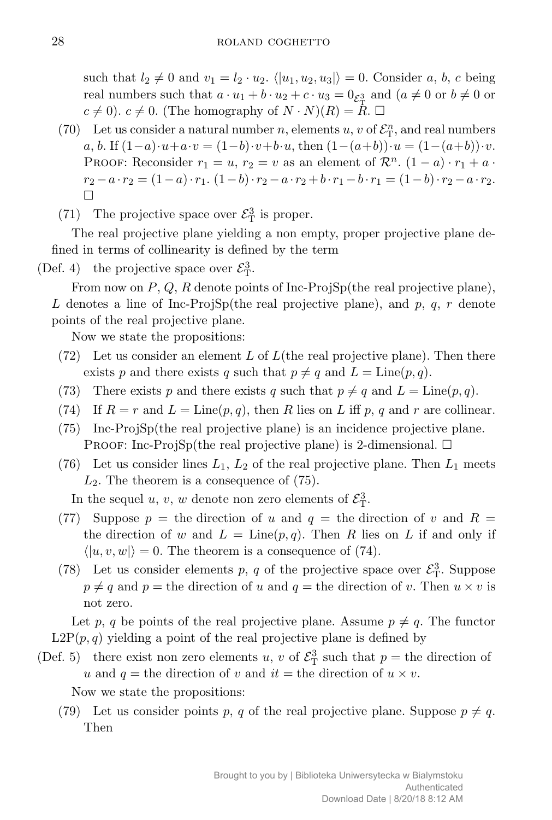such that  $l_2 \neq 0$  and  $v_1 = l_2 \cdot u_2$ .  $\langle |u_1, u_2, u_3| \rangle = 0$ . Consider *a*, *b*, *c* being real numbers such that  $a \cdot u_1 + b \cdot u_2 + c \cdot u_3 = 0$   $\varepsilon_{\rm T}^3$  and  $(a \neq 0 \text{ or } b \neq 0 \text{ or } b$  $c \neq 0$ ).  $c \neq 0$ . (The homography of  $N \cdot N(R) = R \cdot \Box$ 

- (70) Let us consider a natural number *n*, elements *u*, *v* of  $\mathcal{E}_{\mathrm{T}}^n$ , and real numbers a, b. If  $(1-a)\cdot u+a\cdot v=(1-b)\cdot v+b\cdot u$ , then  $(1-(a+b))\cdot u=(1-(a+b))\cdot v$ . PROOF: Reconsider  $r_1 = u$ ,  $r_2 = v$  as an element of  $\mathcal{R}^n$ .  $(1 - a) \cdot r_1 + a \cdot r_2$  $r_2 - a \cdot r_2 = (1 - a) \cdot r_1$ .  $(1 - b) \cdot r_2 - a \cdot r_2 + b \cdot r_1 - b \cdot r_1 = (1 - b) \cdot r_2 - a \cdot r_2$ . П
- (71) The projective space over  $\mathcal{E}_{\rm T}^3$  is proper.

The real projective plane yielding a non empty, proper projective plane defined in terms of collinearity is defined by the term

(Def. 4) the projective space over  $\mathcal{E}_{\mathrm{T}}^3$ .

From now on *P*, *Q*, *R* denote points of Inc-ProjSp(the real projective plane), L denotes a line of Inc-ProjSp(the real projective plane), and  $p, q, r$  denote points of the real projective plane.

Now we state the propositions:

- (72) Let us consider an element *L* of *L*(the real projective plane). Then there exists p and there exists q such that  $p \neq q$  and  $L = \text{Line}(p, q)$ .
- (73) There exists *p* and there exists *q* such that  $p \neq q$  and  $L = \text{Line}(p, q)$ .
- (74) If  $R = r$  and  $L = \text{Line}(p, q)$ , then R lies on L iff p, q and r are collinear.
- (75) Inc-ProjSp(the real projective plane) is an incidence projective plane. PROOF: Inc-ProjSp(the real projective plane) is 2-dimensional.  $\Box$
- (76) Let us consider lines *L*1, *L*<sup>2</sup> of the real projective plane. Then *L*<sup>1</sup> meets *L*2. The theorem is a consequence of (75).

In the sequel *u*, *v*, *w* denote non zero elements of  $\mathcal{E}_{T}^{3}$ .

- (77) Suppose  $p =$  the direction of *u* and  $q =$  the direction of *v* and  $R =$ the direction of *w* and  $L = \text{Line}(p, q)$ . Then *R* lies on *L* if and only if  $\langle |u, v, w| \rangle = 0$ . The theorem is a consequence of (74).
- (78) Let us consider elements *p*, *q* of the projective space over  $\mathcal{E}_{\mathrm{T}}^3$ . Suppose  $p \neq q$  and  $p =$  the direction of *u* and  $q =$  the direction of *v*. Then  $u \times v$  is not zero.

Let p, q be points of the real projective plane. Assume  $p \neq q$ . The functor  $L2P(p,q)$  yielding a point of the real projective plane is defined by

(Def. 5) there exist non zero elements *u*, *v* of  $\mathcal{E}_{\Gamma}^3$  such that  $p =$  the direction of *u* and  $q =$  the direction of *v* and  $it =$  the direction of  $u \times v$ .

Now we state the propositions:

(79) Let us consider points p, q of the real projective plane. Suppose  $p \neq q$ . Then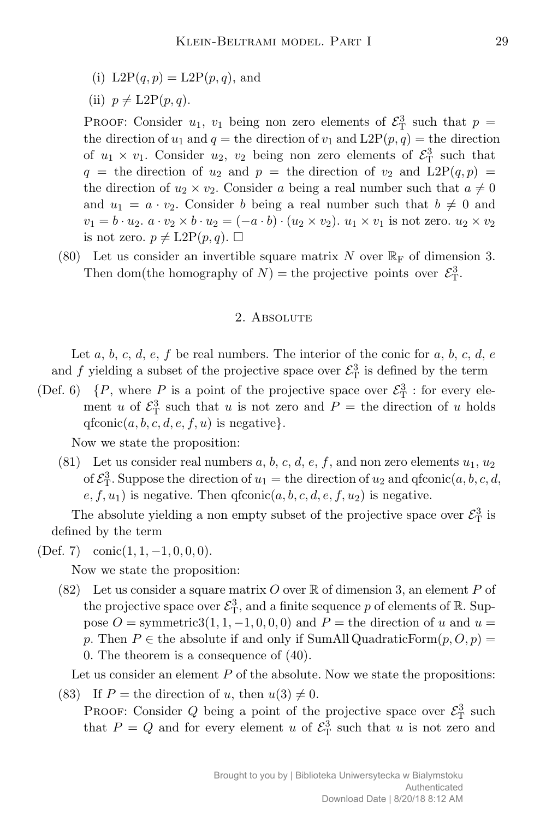- (i)  $L2P(q, p) = L2P(p, q)$ , and
- (ii)  $p \neq \text{L2P}(p,q)$ .

PROOF: Consider  $u_1$ ,  $v_1$  being non zero elements of  $\mathcal{E}^3$  such that  $p =$ the direction of  $u_1$  and  $q =$  the direction of  $v_1$  and  $L2P(p, q) =$  the direction of  $u_1 \times v_1$ . Consider  $u_2$ ,  $v_2$  being non zero elements of  $\mathcal{E}^3$  such that  $q =$  the direction of  $u_2$  and  $p =$  the direction of  $v_2$  and  $L2P(q, p) =$ the direction of  $u_2 \times v_2$ . Consider *a* being a real number such that  $a \neq 0$ and  $u_1 = a \cdot v_2$ . Consider *b* being a real number such that  $b \neq 0$  and  $v_1 = b \cdot u_2$ .  $a \cdot v_2 \times b \cdot u_2 = (-a \cdot b) \cdot (u_2 \times v_2)$ .  $u_1 \times v_1$  is not zero.  $u_2 \times v_2$ is not zero.  $p \neq \text{L2P}(p,q)$ .  $\Box$ 

(80) Let us consider an invertible square matrix *N* over  $\mathbb{R}_{\text{F}}$  of dimension 3. Then dom(the homography of  $N$ ) = the projective points over  $\mathcal{E}_{T}^3$ .

### 2. Absolute

Let  $a, b, c, d, e, f$  be real numbers. The interior of the conic for  $a, b, c, d, e$ and *f* yielding a subset of the projective space over  $\mathcal{E}_{\mathrm{T}}^3$  is defined by the term

(Def. 6)  $\{P, \text{ where } P \text{ is a point of the projective space over } \mathcal{E}_{\mathrm{T}}^3 : \text{ for every ele-}$ ment *u* of  $\mathcal{E}_{\rm T}^3$  such that *u* is not zero and  $P =$  the direction of *u* holds qfconic( $a, b, c, d, e, f, u$ ) is negative}.

Now we state the proposition:

(81) Let us consider real numbers  $a, b, c, d, e, f$ , and non zero elements  $u_1, u_2$ of  $\mathcal{E}_{\mathrm{T}}^3$ . Suppose the direction of  $u_1 =$  the direction of  $u_2$  and  $\text{qfconic}(a, b, c, d, d)$  $e, f, u_1$ ) is negative. Then  $q$ fconic $(a, b, c, d, e, f, u_2)$  is negative.

The absolute yielding a non empty subset of the projective space over  $\mathcal{E}_{\mathrm{T}}^3$  is defined by the term

(Def. 7) conic(1*,* 1*, −*1*,* 0*,* 0*,* 0).

Now we state the proposition:

(82) Let us consider a square matrix  $O$  over  $\mathbb R$  of dimension 3, an element  $P$  of the projective space over  $\mathcal{E}_{\textrm{T}}^3$ , and a finite sequence  $p$  of elements of  $\mathbb R$ . Suppose  $O =$  symmetric3(1, 1, -1, 0, 0, 0) and  $P =$  the direction of *u* and  $u =$ *p*. Then  $P \in$  the absolute if and only if SumAll QuadraticForm $(p, O, p)$  = 0. The theorem is a consequence of (40).

Let us consider an element *P* of the absolute. Now we state the propositions:

(83) If  $P =$  the direction of *u*, then  $u(3) \neq 0$ . PROOF: Consider *Q* being a point of the projective space over  $\mathcal{E}_{\rm T}^3$  such that  $P = Q$  and for every element *u* of  $\mathcal{E}_{\Gamma}^3$  such that *u* is not zero and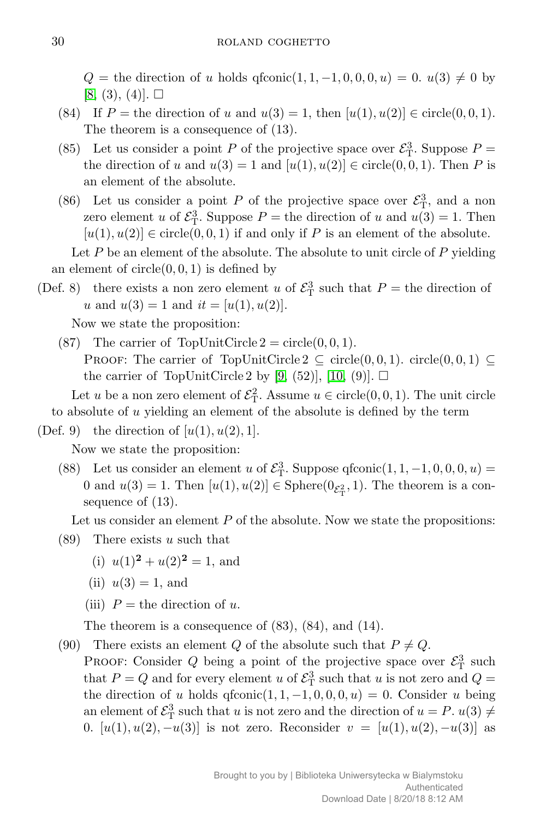$Q =$  the direction of *u* holds qfconic(1*,* 1*,* -1*,* 0*,* 0*,* 0*, u*) = 0. *u*(3)  $\neq$  0 by  $[8, (3), (4)]. \square$  $[8, (3), (4)]. \square$ 

- (84) If  $P =$  the direction of *u* and  $u(3) = 1$ , then  $[u(1), u(2)] \in \text{circle}(0, 0, 1)$ . The theorem is a consequence of (13).
- (85) Let us consider a point *P* of the projective space over  $\mathcal{E}_{\rm T}^3$ . Suppose *P* = the direction of *u* and  $u(3) = 1$  and  $[u(1), u(2)] \in \text{circle}(0, 0, 1)$ . Then *P* is an element of the absolute.
- (86) Let us consider a point *P* of the projective space over  $\mathcal{E}_{\rm T}^3$ , and a non zero element *u* of  $\mathcal{E}_{\mathrm{T}}^3$ . Suppose  $P =$  the direction of *u* and  $u(3) = 1$ . Then  $[u(1), u(2)] \in \text{circle}(0, 0, 1)$  if and only if *P* is an element of the absolute.

Let P be an element of the absolute. The absolute to unit circle of P yielding an element of  $circle(0,0,1)$  is defined by

(Def. 8) there exists a non zero element *u* of  $\mathcal{E}_{\rm T}^3$  such that  $P =$  the direction of *u* and  $u(3) = 1$  and  $it = [u(1), u(2)].$ 

Now we state the proposition:

(87) The carrier of TopUnitCircle  $2 = \text{circle}(0, 0, 1)$ . PROOF: The carrier of TopUnitCircle  $2 \subseteq \text{circle}(0, 0, 1)$ . circle $(0, 0, 1) \subseteq$ the carrier of TopUnitCircle 2 by [\[9,](#page-11-12) (52)], [\[10,](#page-11-13) (9)].  $\Box$ 

Let *u* be a non zero element of  $\mathcal{E}_{\rm T}^2$ . Assume  $u \in \text{circle}(0, 0, 1)$ . The unit circle to absolute of *u* yielding an element of the absolute is defined by the term

(Def. 9) the direction of  $[u(1), u(2), 1]$ .

Now we state the proposition:

(88) Let us consider an element *u* of  $\mathcal{E}_{\rm T}^3$ . Suppose qfconic $(1, 1, -1, 0, 0, 0, u)$  = 0 and  $u(3) = 1$ . Then  $[u(1), u(2)] \in \text{Sphere}(\mathbb{0}_{\mathcal{E}_{\text{T}}^2}, 1)$ . The theorem is a consequence of (13).

Let us consider an element *P* of the absolute. Now we state the propositions:

- (89) There exists *u* such that
	- (i)  $u(1)^2 + u(2)^2 = 1$ , and
	- (ii)  $u(3) = 1$ , and
	- (iii)  $P =$  the direction of *u*.

The theorem is a consequence of (83), (84), and (14).

(90) There exists an element *Q* of the absolute such that  $P \neq Q$ .

PROOF: Consider *Q* being a point of the projective space over  $\mathcal{E}_{\rm T}^3$  such that  $P = Q$  and for every element *u* of  $\mathcal{E}_{\rm T}^3$  such that *u* is not zero and  $Q =$ the direction of *u* holds  $q$ fconic $(1, 1, -1, 0, 0, 0, u) = 0$ . Consider *u* being an element of  $\mathcal{E}_{\mathrm{T}}^3$  such that *u* is not zero and the direction of  $u = P$ .  $u(3) \neq 0$ 0.  $[u(1), u(2), -u(3)]$  is not zero. Reconsider  $v = [u(1), u(2), -u(3)]$  as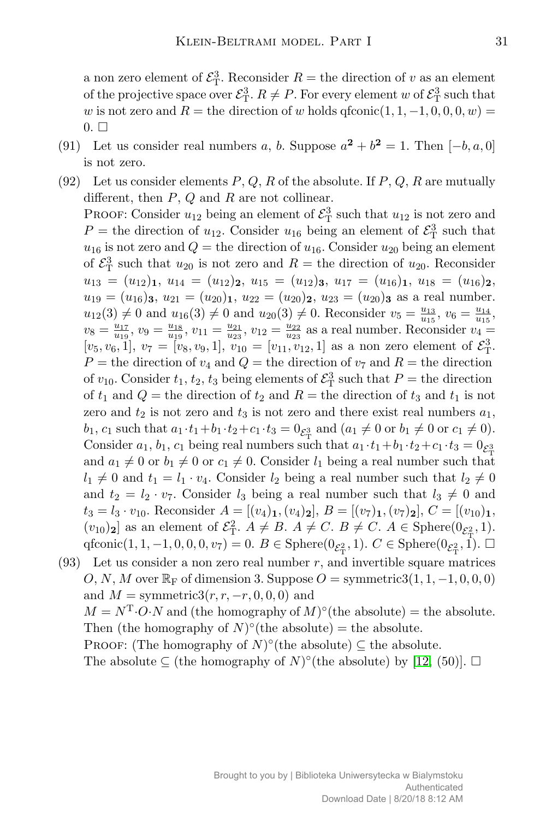a non zero element of  $\mathcal{E}_{\mathrm{T}}^3$ . Reconsider  $R =$  the direction of *v* as an element of the projective space over  $\mathcal{E}_{\mathrm{T}}^3$ .  $R \neq P$ . For every element *w* of  $\mathcal{E}_{\mathrm{T}}^3$  such that *w* is not zero and  $R =$  the direction of *w* holds  $q$ fconic $(1, 1, -1, 0, 0, 0, w) =$  $0.$   $\Box$ 

- (91) Let us consider real numbers *a*, *b*. Suppose  $a^2 + b^2 = 1$ . Then  $[-b, a, 0]$ is not zero.
- (92) Let us consider elements *P*, *Q*, *R* of the absolute. If *P*, *Q*, *R* are mutually different, then *P*, *Q* and *R* are not collinear. PROOF: Consider  $u_{12}$  being an element of  $\mathcal{E}^3_\text{T}$  such that  $u_{12}$  is not zero and  $P =$  the direction of  $u_{12}$ . Consider  $u_{16}$  being an element of  $\mathcal{E}_{\rm T}^3$  such that  $u_{16}$  is not zero and  $Q =$  the direction of  $u_{16}$ . Consider  $u_{20}$  being an element of  $\mathcal{E}_{\rm T}^3$  such that  $u_{20}$  is not zero and  $R =$  the direction of  $u_{20}$ . Reconsider  $u_{13} = (u_{12})_1, u_{14} = (u_{12})_2, u_{15} = (u_{12})_3, u_{17} = (u_{16})_1, u_{18} = (u_{16})_2,$  $u_{19} = (u_{16})_3$ ,  $u_{21} = (u_{20})_1$ ,  $u_{22} = (u_{20})_2$ ,  $u_{23} = (u_{20})_3$  as a real number.  $u_{12}(3) \neq 0$  and  $u_{16}(3) \neq 0$  and  $u_{20}(3) \neq 0$ . Reconsider  $v_5 = \frac{u_{13}}{u_{15}}$  $\frac{u_{13}}{u_{15}}, v_6 = \frac{u_{14}}{u_{15}}$  $\frac{u_{14}}{u_{15}},$  $v_8 = \frac{u_{17}}{u_{19}}$  $\frac{u_{17}}{u_{19}}, v_9 = \frac{u_{18}}{u_{19}}$  $\frac{u_{18}}{u_{19}}, v_{11} = \frac{u_{21}}{u_{23}}$  $\frac{u_{21}}{u_{23}}, v_{12} = \frac{u_{22}}{u_{23}}$  $\frac{u_{22}}{u_{23}}$  as a real number. Reconsider  $v_4 =$  $[v_5, v_6, 1], v_7 = [v_8, v_9, 1], v_{10} = [v_{11}, v_{12}, 1]$  as a non zero element of  $\mathcal{E}_{T}^3$ .  $P =$  the direction of  $v_4$  and  $Q =$  the direction of  $v_7$  and  $R =$  the direction of  $v_{10}$ . Consider  $t_1, t_2, t_3$  being elements of  $\mathcal{E}_{\rm T}^3$  such that  $P =$  the direction of  $t_1$  and  $Q$  = the direction of  $t_2$  and  $R$  = the direction of  $t_3$  and  $t_1$  is not zero and  $t_2$  is not zero and  $t_3$  is not zero and there exist real numbers  $a_1$ ,  $b_1, c_1$  such that  $a_1 \cdot t_1 + b_1 \cdot t_2 + c_1 \cdot t_3 = 0$ , and  $(a_1 \neq 0 \text{ or } b_1 \neq 0 \text{ or } c_1 \neq 0)$ . Consider *a*<sub>1</sub>, *b*<sub>1</sub>, *c*<sub>1</sub> being real numbers such that  $a_1 \cdot t_1 + b_1 \cdot t_2 + c_1 \cdot t_3 = 0$ and  $a_1 \neq 0$  or  $b_1 \neq 0$  or  $c_1 \neq 0$ . Consider  $l_1$  being a real number such that  $l_1 \neq 0$  and  $t_1 = l_1 \cdot v_4$ . Consider  $l_2$  being a real number such that  $l_2 \neq 0$ and  $t_2 = l_2 \cdot v_7$ . Consider  $l_3$  being a real number such that  $l_3 \neq 0$  and  $t_3 = l_3 \cdot v_{10}$ . Reconsider  $A = [(v_4)_1, (v_4)_2]$ ,  $B = [(v_7)_1, (v_7)_2]$ ,  $C = [(v_{10})_1,$  $(v_{10})_2$  as an element of  $\mathcal{E}_T^2$ .  $A \neq B$ .  $A \neq C$ .  $B \neq C$ .  $A \in \text{Sphere}(0_{\mathcal{E}_T^2}, 1)$ .  $\text{qfconic}(1, 1, -1, 0, 0, 0, v_7) = 0.$   $B \in \text{Sphere}(0_{\mathcal{E}_{\text{T}}^2}, 1)$ .  $C \in \text{Sphere}(0_{\mathcal{E}_{\text{T}}^2}, 1)$ .  $\square$
- (93) Let us consider a non zero real number *r*, and invertible square matrices  $O, N, M$  over  $\mathbb{R}_F$  of dimension 3. Suppose  $O =$  symmetric 3(1, 1, -1, 0, 0, 0) and  $M =$  symmetric3( $r, r, -r, 0, 0, 0$ ) and  $M = N^{\mathrm{T}} \cdot O \cdot N$  and (the homography of  $M$ )<sup>°</sup>(the absolute) = the absolute. Then (the homography of  $N$ <sup>o</sup>(the absolute) = the absolute. PROOF: (The homography of  $N$ <sup>o</sup>(the absolute)  $\subseteq$  the absolute. The absolute  $\subseteq$  (the homography of *N*)<sup> $\circ$ </sup>(the absolute) by [\[12,](#page-11-14) (50)].  $\square$